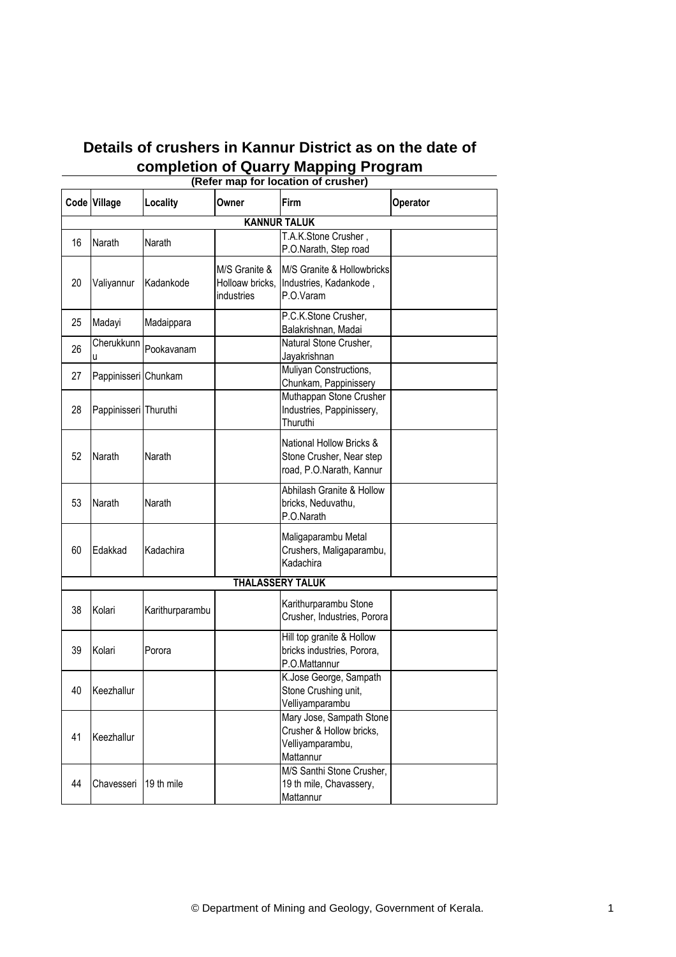## **Details of crushers in Kannur District as on the date of completion of Quarry Mapping Program**

| (Refer map for location of crusher) |                       |                 |                                                |                                                                                       |          |  |  |
|-------------------------------------|-----------------------|-----------------|------------------------------------------------|---------------------------------------------------------------------------------------|----------|--|--|
|                                     | Code Village          | Locality        | Owner                                          | Firm                                                                                  | Operator |  |  |
|                                     | <b>KANNUR TALUK</b>   |                 |                                                |                                                                                       |          |  |  |
| 16                                  | Narath                | Narath          |                                                | T.A.K.Stone Crusher,<br>P.O.Narath, Step road                                         |          |  |  |
| 20                                  | Valiyannur            | Kadankode       | M/S Granite &<br>Holloaw bricks,<br>industries | M/S Granite & Hollowbricks<br>Industries, Kadankode,<br>P.O.Varam                     |          |  |  |
| 25                                  | Madayi                | Madaippara      |                                                | P.C.K.Stone Crusher,<br>Balakrishnan, Madai                                           |          |  |  |
| 26                                  | Cherukkunn<br>u       | Pookavanam      |                                                | Natural Stone Crusher,<br>Jayakrishnan                                                |          |  |  |
| 27                                  | Pappinisseri Chunkam  |                 |                                                | Muliyan Constructions,<br>Chunkam, Pappinissery                                       |          |  |  |
| 28                                  | Pappinisseri Thuruthi |                 |                                                | Muthappan Stone Crusher<br>Industries, Pappinissery,<br>Thuruthi                      |          |  |  |
| 52                                  | Narath                | Narath          |                                                | National Hollow Bricks &<br>Stone Crusher, Near step<br>road, P.O.Narath, Kannur      |          |  |  |
| 53                                  | Narath                | Narath          |                                                | Abhilash Granite & Hollow<br>bricks, Neduvathu,<br>P.O.Narath                         |          |  |  |
| 60                                  | Edakkad               | Kadachira       |                                                | Maligaparambu Metal<br>Crushers, Maligaparambu,<br>Kadachira                          |          |  |  |
|                                     |                       |                 |                                                | <b>THALASSERY TALUK</b>                                                               |          |  |  |
| 38                                  | Kolari                | Karithurparambu |                                                | Karithurparambu Stone<br>Crusher, Industries, Porora                                  |          |  |  |
| 39                                  | Kolari                | Porora          |                                                | Hill top granite & Hollow<br>bricks industries, Porora,<br>P.O.Mattannur              |          |  |  |
| 40                                  | Keezhallur            |                 |                                                | K.Jose George, Sampath<br>Stone Crushing unit,<br>Velliyamparambu                     |          |  |  |
| 41                                  | Keezhallur            |                 |                                                | Mary Jose, Sampath Stone<br>Crusher & Hollow bricks,<br>Velliyamparambu,<br>Mattannur |          |  |  |
| 44                                  | Chavesseri            | 19 th mile      |                                                | M/S Santhi Stone Crusher,<br>19 th mile, Chavassery,<br>Mattannur                     |          |  |  |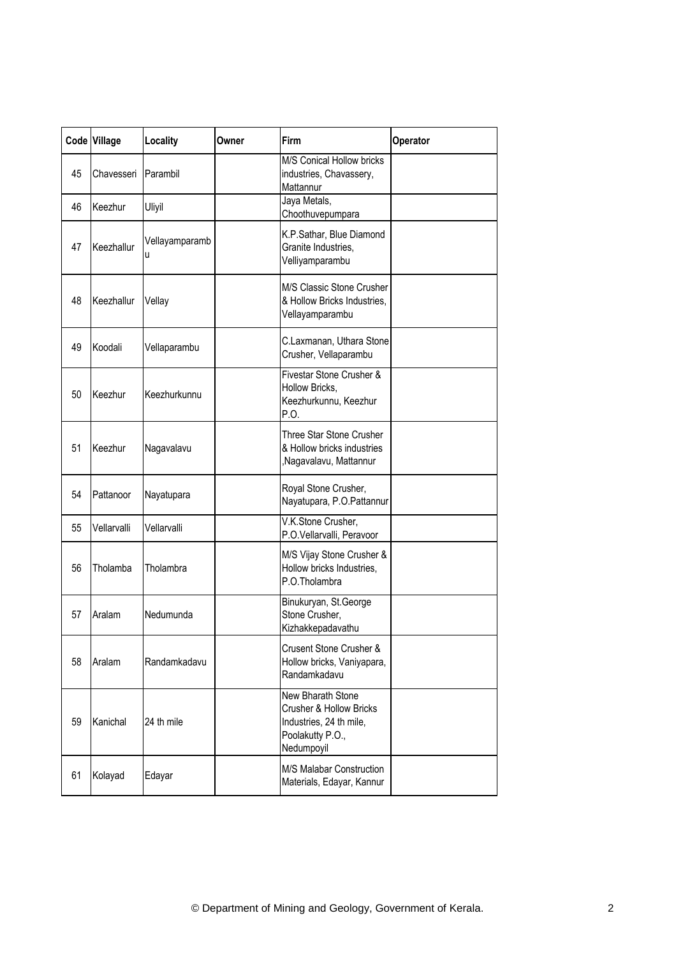|    | Code Village | Locality            | Owner | Firm                                                                                                                 | Operator |
|----|--------------|---------------------|-------|----------------------------------------------------------------------------------------------------------------------|----------|
| 45 | Chavesseri   | Parambil            |       | M/S Conical Hollow bricks<br>industries, Chavassery,<br>Mattannur<br>Jaya Metals,                                    |          |
| 46 | Keezhur      | Uliyil              |       | Choothuvepumpara                                                                                                     |          |
| 47 | Keezhallur   | Vellayamparamb<br>u |       | K.P.Sathar, Blue Diamond<br>Granite Industries,<br>Velliyamparambu                                                   |          |
| 48 | Keezhallur   | Vellay              |       | M/S Classic Stone Crusher<br>& Hollow Bricks Industries,<br>Vellayamparambu                                          |          |
| 49 | Koodali      | Vellaparambu        |       | C.Laxmanan, Uthara Stone<br>Crusher, Vellaparambu                                                                    |          |
| 50 | Keezhur      | Keezhurkunnu        |       | Fivestar Stone Crusher &<br>Hollow Bricks,<br>Keezhurkunnu, Keezhur<br>P.O.                                          |          |
| 51 | Keezhur      | Nagavalavu          |       | Three Star Stone Crusher<br>& Hollow bricks industries<br>,Nagavalavu, Mattannur                                     |          |
| 54 | Pattanoor    | Nayatupara          |       | Royal Stone Crusher,<br>Nayatupara, P.O.Pattannur                                                                    |          |
| 55 | Vellarvalli  | Vellarvalli         |       | V.K.Stone Crusher,<br>P.O.Vellarvalli, Peravoor                                                                      |          |
| 56 | Tholamba     | Tholambra           |       | M/S Vijay Stone Crusher &<br>Hollow bricks Industries,<br>P.O.Tholambra                                              |          |
| 57 | Aralam       | Nedumunda           |       | Binukuryan, St.George<br>Stone Crusher,<br>Kizhakkepadavathu                                                         |          |
| 58 | Aralam       | Randamkadavu        |       | Crusent Stone Crusher &<br>Hollow bricks, Vaniyapara,<br>Randamkadavu                                                |          |
| 59 | Kanichal     | 24 th mile          |       | New Bharath Stone<br><b>Crusher &amp; Hollow Bricks</b><br>Industries, 24 th mile,<br>Poolakutty P.O.,<br>Nedumpoyil |          |
| 61 | Kolayad      | Edayar              |       | M/S Malabar Construction<br>Materials, Edayar, Kannur                                                                |          |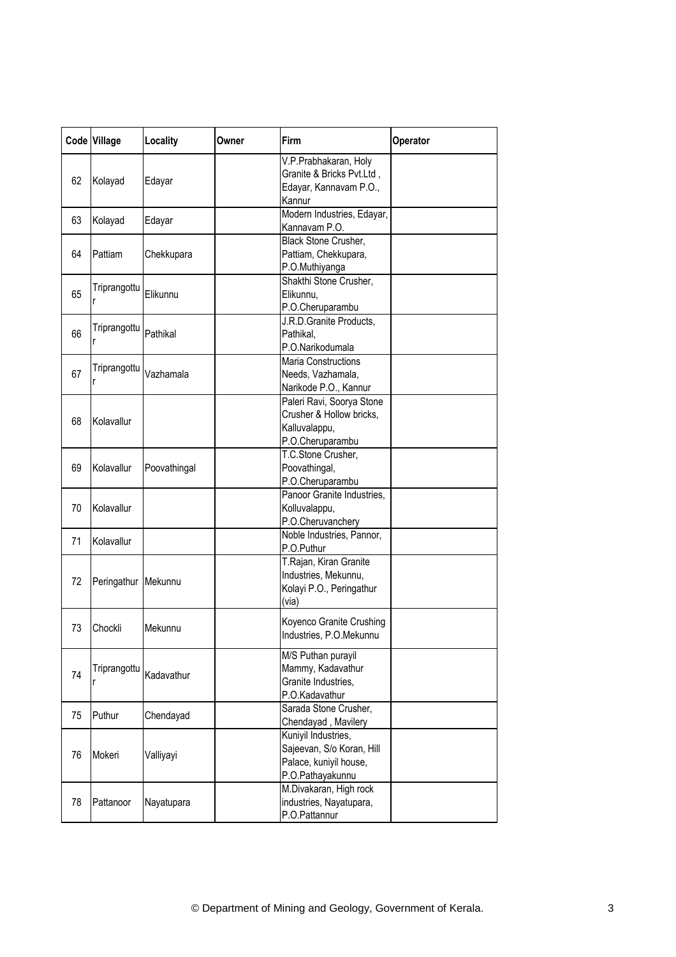|    | Code Village | Locality     | Owner | Firm                                                                                           | Operator |
|----|--------------|--------------|-------|------------------------------------------------------------------------------------------------|----------|
| 62 | Kolayad      | Edayar       |       | V.P.Prabhakaran, Holy<br>Granite & Bricks Pvt.Ltd,<br>Edayar, Kannavam P.O.,<br>Kannur         |          |
| 63 | Kolayad      | Edayar       |       | Modern Industries, Edayar,<br>Kannavam P.O.                                                    |          |
| 64 | Pattiam      | Chekkupara   |       | Black Stone Crusher,<br>Pattiam, Chekkupara,<br>P.O.Muthiyanga                                 |          |
| 65 | Triprangottu | Elikunnu     |       | Shakthi Stone Crusher,<br>Elikunnu,<br>P.O.Cheruparambu                                        |          |
| 66 | Triprangottu | Pathikal     |       | J.R.D.Granite Products,<br>Pathikal,<br>P.O.Narikodumala                                       |          |
| 67 | Triprangottu | Vazhamala    |       | Maria Constructions<br>Needs, Vazhamala,<br>Narikode P.O., Kannur                              |          |
| 68 | Kolavallur   |              |       | Paleri Ravi, Soorya Stone<br>Crusher & Hollow bricks,<br>Kalluvalappu,<br>P.O.Cheruparambu     |          |
| 69 | Kolavallur   | Poovathingal |       | T.C.Stone Crusher,<br>Poovathingal,<br>P.O.Cheruparambu                                        |          |
| 70 | Kolavallur   |              |       | Panoor Granite Industries,<br>Kolluvalappu,<br>P.O.Cheruvanchery                               |          |
| 71 | Kolavallur   |              |       | Noble Industries, Pannor,<br>P.O.Puthur                                                        |          |
| 72 | Peringathur  | Mekunnu      |       | T.Rajan, Kiran Granite<br>Industries, Mekunnu,<br>Kolayi P.O., Peringathur<br>(via)            |          |
| 73 | Chockli      | Mekunnu      |       | Koyenco Granite Crushing<br>Industries, P.O.Mekunnu                                            |          |
| 74 | Triprangottu | Kadavathur   |       | M/S Puthan purayil<br>Mammy, Kadavathur<br>Granite Industries,<br>P.O.Kadavathur               |          |
| 75 | Puthur       | Chendayad    |       | Sarada Stone Crusher,<br>Chendayad, Mavilery                                                   |          |
| 76 | Mokeri       | Valliyayi    |       | Kuniyil Industries,<br>Sajeevan, S/o Koran, Hill<br>Palace, kuniyil house,<br>P.O.Pathayakunnu |          |
| 78 | Pattanoor    | Nayatupara   |       | M.Divakaran, High rock<br>industries, Nayatupara,<br>P.O.Pattannur                             |          |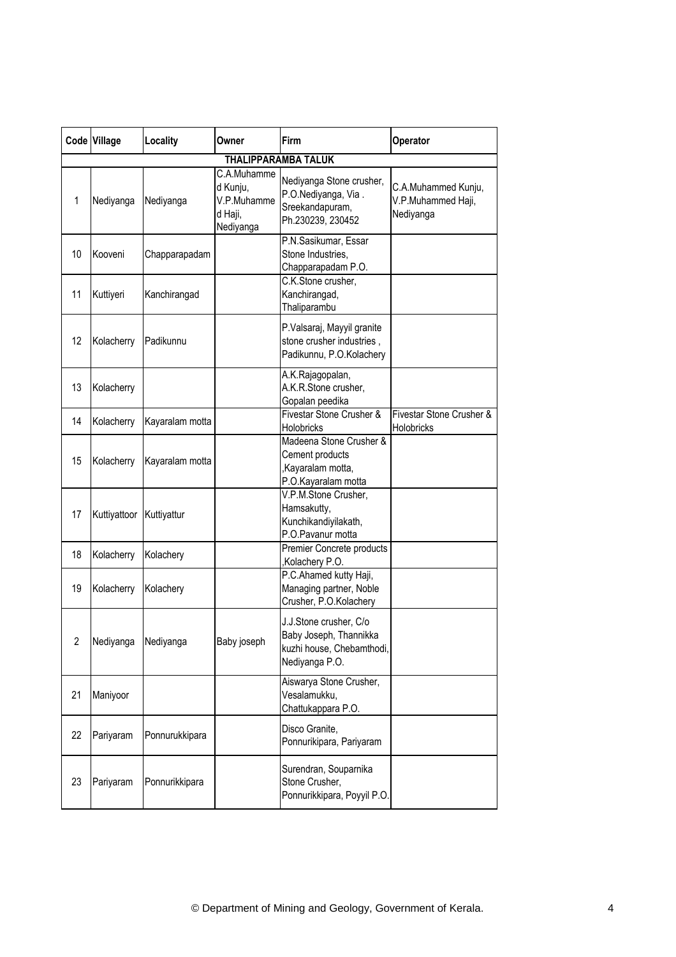|                | Code Village | Locality        | Owner                                                          | Firm                                                                                            | Operator                                               |
|----------------|--------------|-----------------|----------------------------------------------------------------|-------------------------------------------------------------------------------------------------|--------------------------------------------------------|
|                |              |                 |                                                                | <b>THALIPPARAMBA TALUK</b>                                                                      |                                                        |
| 1              | Nediyanga    | Nediyanga       | C.A.Muhamme<br>d Kunju,<br>V.P.Muhamme<br>d Haji,<br>Nediyanga | Nediyanga Stone crusher,<br>P.O.Nediyanga, Via.<br>Sreekandapuram,<br>Ph.230239, 230452         | C.A.Muhammed Kunju,<br>V.P.Muhammed Haji,<br>Nediyanga |
| 10             | Kooveni      | Chapparapadam   |                                                                | P.N.Sasikumar, Essar<br>Stone Industries,<br>Chapparapadam P.O.                                 |                                                        |
| 11             | Kuttiyeri    | Kanchirangad    |                                                                | C.K.Stone crusher,<br>Kanchirangad,<br>Thaliparambu                                             |                                                        |
| 12             | Kolacherry   | Padikunnu       |                                                                | P.Valsaraj, Mayyil granite<br>stone crusher industries,<br>Padikunnu, P.O.Kolachery             |                                                        |
| 13             | Kolacherry   |                 |                                                                | A.K.Rajagopalan,<br>A.K.R.Stone crusher,<br>Gopalan peedika                                     |                                                        |
| 14             | Kolacherry   | Kayaralam motta |                                                                | Fivestar Stone Crusher &<br>Holobricks                                                          | Fivestar Stone Crusher &<br>Holobricks                 |
| 15             | Kolacherry   | Kayaralam motta |                                                                | Madeena Stone Crusher &<br>Cement products<br>,Kayaralam motta,<br>P.O.Kayaralam motta          |                                                        |
| 17             | Kuttiyattoor | Kuttiyattur     |                                                                | V.P.M.Stone Crusher,<br>Hamsakutty,<br>Kunchikandiyilakath,<br>P.O.Pavanur motta                |                                                        |
| 18             | Kolacherry   | Kolachery       |                                                                | Premier Concrete products<br>,Kolachery P.O.                                                    |                                                        |
| 19             | Kolacherry   | Kolachery       |                                                                | P.C.Ahamed kutty Haji,<br>Managing partner, Noble<br>Crusher, P.O.Kolachery                     |                                                        |
| $\overline{2}$ | Nediyanga    | Nediyanga       | Baby joseph                                                    | J.J.Stone crusher, C/o<br>Baby Joseph, Thannikka<br>kuzhi house, Chebamthodi,<br>Nediyanga P.O. |                                                        |
| 21             | Maniyoor     |                 |                                                                | Aiswarya Stone Crusher,<br>Vesalamukku,<br>Chattukappara P.O.                                   |                                                        |
| 22             | Pariyaram    | Ponnurukkipara  |                                                                | Disco Granite,<br>Ponnurikipara, Pariyaram                                                      |                                                        |
| 23             | Pariyaram    | Ponnurikkipara  |                                                                | Surendran, Souparnika<br>Stone Crusher,<br>Ponnurikkipara, Poyyil P.O.                          |                                                        |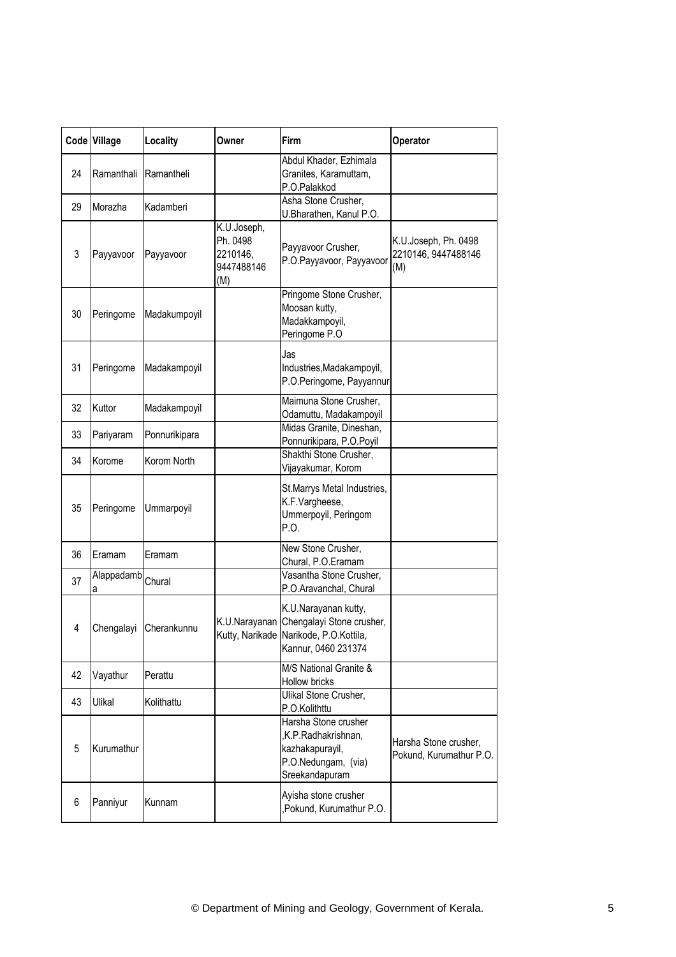|    | Code Village    | Locality               | Owner                                                    | Firm                                                                                                                             | Operator                                           |
|----|-----------------|------------------------|----------------------------------------------------------|----------------------------------------------------------------------------------------------------------------------------------|----------------------------------------------------|
| 24 | Ramanthali      | Ramantheli             |                                                          | Abdul Khader, Ezhimala<br>Granites, Karamuttam,<br>P.O.Palakkod                                                                  |                                                    |
| 29 | Morazha         | Kadamberi              |                                                          | Asha Stone Crusher,<br>U.Bharathen, Kanul P.O.                                                                                   |                                                    |
| 3  | Payyavoor       | Payyavoor              | K.U.Joseph,<br>Ph. 0498<br>2210146,<br>9447488146<br>(M) | Payyavoor Crusher,<br>P.O.Payyavoor, Payyavoor                                                                                   | K.U.Joseph, Ph. 0498<br>2210146, 9447488146<br>(M) |
| 30 | Peringome       | Madakumpoyil           |                                                          | Pringome Stone Crusher,<br>Moosan kutty,<br>Madakkampoyil,<br>Peringome P.O                                                      |                                                    |
| 31 | Peringome       | Madakampoyil           |                                                          | Jas<br>Industries, Madakampoyil,<br>P.O.Peringome, Payyannur                                                                     |                                                    |
| 32 | Kuttor          | Madakampoyil           |                                                          | Maimuna Stone Crusher,<br>Odamuttu, Madakampoyil                                                                                 |                                                    |
| 33 | Pariyaram       | Ponnurikipara          |                                                          | Midas Granite, Dineshan,<br>Ponnurikipara, P.O.Poyil                                                                             |                                                    |
| 34 | Korome          | Korom North            |                                                          | Shakthi Stone Crusher,<br>Vijayakumar, Korom                                                                                     |                                                    |
| 35 | Peringome       | Ummarpoyil             |                                                          | St.Marrys Metal Industries,<br>K.F.Vargheese,<br>Ummerpoyil, Peringom<br>P.O.                                                    |                                                    |
| 36 | Eramam          | Eramam                 |                                                          | New Stone Crusher,<br>Chural, P.O.Eramam                                                                                         |                                                    |
| 37 | Alappadamb<br>а | Chural                 |                                                          | Vasantha Stone Crusher,<br>P.O.Aravanchal, Chural                                                                                |                                                    |
| 4  |                 | Chengalayi Cherankunnu |                                                          | K.U.Narayanan kutty,<br>K.U.Narayanan Chengalayi Stone crusher,<br>Kutty, Narikade Narikode, P.O.Kottila,<br>Kannur, 0460 231374 |                                                    |
| 42 | Vayathur        | Perattu                |                                                          | M/S National Granite &<br>Hollow bricks                                                                                          |                                                    |
| 43 | Ulikal          | Kolithattu             |                                                          | Ulikal Stone Crusher,<br>P.O.Kolithttu                                                                                           |                                                    |
| 5  | Kurumathur      |                        |                                                          | Harsha Stone crusher<br>,K.P.Radhakrishnan,<br>kazhakapurayil,<br>P.O.Nedungam, (via)<br>Sreekandapuram                          | Harsha Stone crusher,<br>Pokund, Kurumathur P.O.   |
| 6  | Panniyur        | Kunnam                 |                                                          | Ayisha stone crusher<br>,Pokund, Kurumathur P.O.                                                                                 |                                                    |